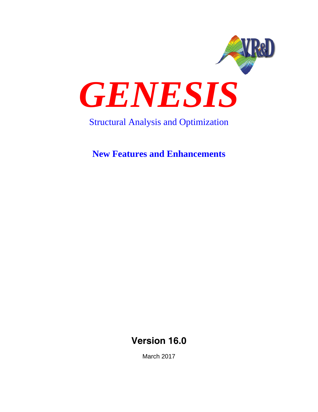

# Structural Analysis and Optimization

**New Features and Enhancements**

**Version 16.0**

March 2017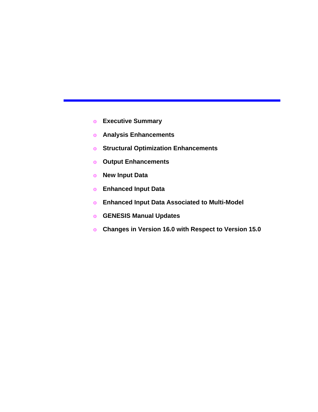- o **Executive Summary**
- o **Analysis Enhancements**
- o **Structural Optimization Enhancements**
- o **Output Enhancements**
- o **New Input Data**
- o **Enhanced Input Data**
- o **Enhanced Input Data Associated to Multi-Model**
- o **GENESIS Manual Updates**
- o **Changes in Version 16.0 with Respect to Version 15.0**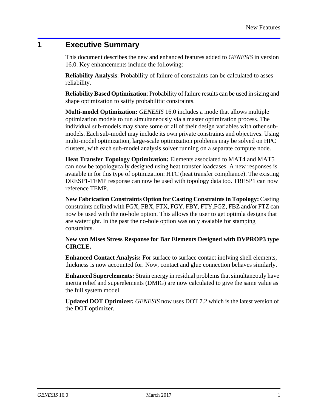## **1 Executive Summary**

This document describes the new and enhanced features added to *GENESIS* in version 16.0. Key enhancements include the following:

**Reliability Analysis**: Probability of failure of constraints can be calculated to asses reliability.

**Reliability Based Optimization**: Probability of failure results can be used in sizing and shape optimization to satify probabilitic constraints.

**Multi-model Optimization:** *GENESIS* 16.0 includes a mode that allows multiple optimization models to run simultaneously via a master optimization process. The individual sub-models may share some or all of their design variables with other submodels. Each sub-model may include its own private constraints and objectives. Using multi-model optimization, large-scale optimization problems may be solved on HPC clusters, with each sub-model analysis solver running on a separate compute node.

**Heat Transfer Topology Optimization:** Elements associated to MAT4 and MAT5 can now be topologycally designed using heat transfer loadcases. A new responses is avaiable in for this type of optimization: HTC (heat transfer compliance). The existing DRESP1-TEMP response can now be used with topology data too. TRESP1 can now reference TEMP.

**New Fabrication Constraints Option for Casting Constraints in Topology:** Casting constraints defined with FGX, FBX, FTX, FGY, FBY, FTY,FGZ, FBZ and/or FTZ can now be used with the no-hole option. This allows the user to get optimla designs that are watertight. In the past the no-hole option was only avaiable for stamping constraints.

**New von Mises Stress Response for Bar Elements Designed with DVPROP3 type CIRCLE.**

**Enhanced Contact Analysis:** For surface to surface contact inolving shell elements, thickness is now accounted for. Now, contact and glue connection behaves similarly.

**Enhanced Superelements:** Strain energy in residual problems that simultaneouly have inertia relief and superelements (DMIG) are now calculated to give the same value as the full system model.

**Updated DOT Optimizer:** *GENESIS* now uses DOT 7.2 which is the latest version of the DOT optimizer.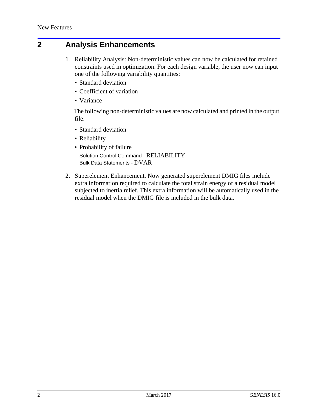### **2 Analysis Enhancements**

- 1. Reliability Analysis: Non-deterministic values can now be calculated for retained constraints used in optimization. For each design variable, the user now can input one of the following variability quantities:
	- Standard deviation
	- Coefficient of variation
	- Variance

The following non-deterministic values are now calculated and printed in the output file:

- Standard deviation
- Reliability
- Probability of failure Solution Control Command - RELIABILITY Bulk Data Statements - DVAR
- 2. Superelement Enhancement. Now generated superelement DMIG files include extra information required to calculate the total strain energy of a residual model subjected to inertia relief. This extra information will be automatically used in the residual model when the DMIG file is included in the bulk data.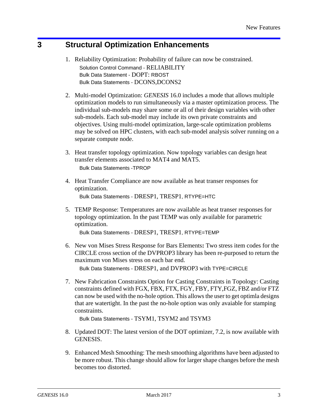## **3 Structural Optimization Enhancements**

- 1. Reliability Optimization: Probability of failure can now be constrained. Solution Control Command - RELIABILITY Bulk Data Statement - DOPT: RBOST Bulk Data Statements - DCONS,DCONS2
- 2. Multi-model Optimization: *GENESIS* 16.0 includes a mode that allows multiple optimization models to run simultaneously via a master optimization process. The individual sub-models may share some or all of their design variables with other sub-models. Each sub-model may include its own private constraints and objectives. Using multi-model optimization, large-scale optimization problems may be solved on HPC clusters, with each sub-model analysis solver running on a separate compute node.
- 3. Heat transfer topology optimization. Now topology variables can design heat transfer elements associated to MAT4 and MAT5. Bulk Data Statements -TPROP
- 4. Heat Transfer Compliance are now available as heat transer responses for optimization. Bulk Data Statements - DRESP1, TRESP1, RTYPE=HTC
- 5. TEMP Response: Temperatures are now available as heat transer responses for topology optimization. In the past TEMP was only available for parametric optimization.

Bulk Data Statements - DRESP1, TRESP1, RTYPE=TEMP

- 6. New von Mises Stress Response for Bars Elements**:** Two stress item codes for the CIRCLE cross section of the DVPROP3 library has been re-purposed to return the maximum von Mises stress on each bar end. Bulk Data Statements - DRESP1, and DVPROP3 with TYPE=CIRCLE
- 7. New Fabrication Constraints Option for Casting Constraints in Topology: Casting constraints defined with FGX, FBX, FTX, FGY, FBY, FTY,FGZ, FBZ and/or FTZ can now be used with the no-hole option. This allows the user to get optimla designs that are watertight. In the past the no-hole option was only avaiable for stamping constraints.

Bulk Data Statements - TSYM1, TSYM2 and TSYM3

- 8. Updated DOT: The latest version of the DOT optimizer, 7.2, is now available with GENESIS.
- 9. Enhanced Mesh Smoothing: The mesh smoothing algorithms have been adjusted to be more robust. This change should allow for larger shape changes before the mesh becomes too distorted.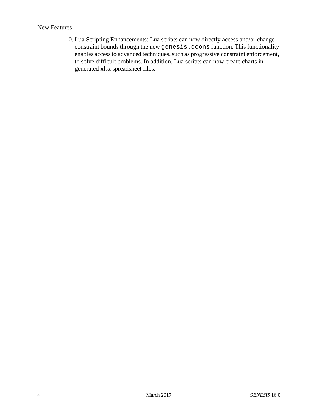#### New Features

10. Lua Scripting Enhancements: Lua scripts can now directly access and/or change constraint bounds through the new genesis.dcons function. This functionality enables access to advanced techniques, such as progressive constraint enforcement, to solve difficult problems. In addition, Lua scripts can now create charts in generated xlsx spreadsheet files.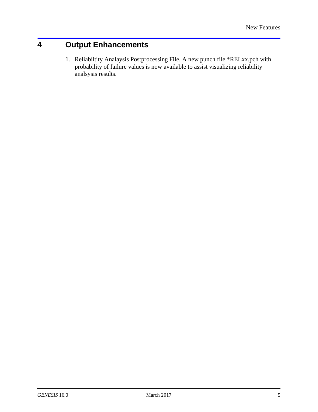# **4 Output Enhancements**

1. Reliabiltity Analaysis Postprocessing File. A new punch file \*RELxx.pch with probability of failure values is now available to assist visualizing reliability analsysis results.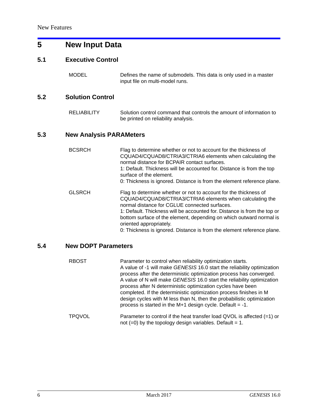# **5 New Input Data**

#### **5.1 Executive Control**

MODEL Defines the name of submodels. This data is only used in a master input file on multi-model runs.

#### **5.2 Solution Control**

RELIABILITY Solution control command that controls the amount of information to be printed on reliability analysis.

#### **5.3 New Analysis PARAMeters**

| <b>BCSRCH</b> | Flag to determine whether or not to account for the thickness of<br>CQUAD4/CQUAD8/CTRIA3/CTRIA6 elements when calculating the<br>normal distance for BCPAIR contact surfaces.<br>1: Default. Thickness will be accounted for. Distance is from the top<br>surface of the element.<br>0: Thickness is ignored. Distance is from the element reference plane.                                                                            |
|---------------|----------------------------------------------------------------------------------------------------------------------------------------------------------------------------------------------------------------------------------------------------------------------------------------------------------------------------------------------------------------------------------------------------------------------------------------|
| <b>GLSRCH</b> | Flag to determine whether or not to account for the thickness of<br>CQUAD4/CQUAD8/CTRIA3/CTRIA6 elements when calculating the<br>normal distance for CGLUE connected surfaces.<br>1: Default. Thickness will be accounted for. Distance is from the top or<br>bottom surface of the element, depending on which outward normal is<br>oriented appropriately.<br>0: Thickness is ignored. Distance is from the element reference plane. |

#### **5.4 New DOPT Parameters**

| <b>RBOST</b>  | Parameter to control when reliability optimization starts.<br>A value of -1 will make GENESIS 16.0 start the reliability optimization<br>process after the deterministic optimization process has converged.<br>A value of N will make GENESIS 16.0 start the reliability optimization<br>process after N deterministic optimization cycles have been<br>completed. If the deterministic optimization process finishes in M<br>design cycles with M less than N, then the probabilistic optimization<br>process is started in the M+1 design cycle. Default = $-1$ . |
|---------------|----------------------------------------------------------------------------------------------------------------------------------------------------------------------------------------------------------------------------------------------------------------------------------------------------------------------------------------------------------------------------------------------------------------------------------------------------------------------------------------------------------------------------------------------------------------------|
| <b>TPQVOL</b> | Parameter to control if the heat transfer load QVOL is affected $(=1)$ or<br>not $(=0)$ by the topology design variables. Default = 1.                                                                                                                                                                                                                                                                                                                                                                                                                               |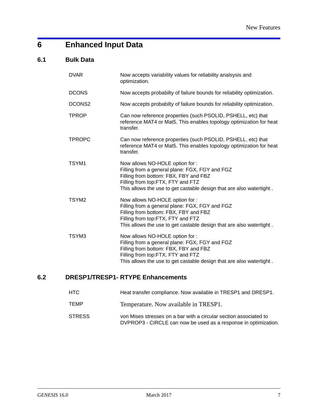# **6 Enhanced Input Data**

### **6.1 Bulk Data**

| <b>DVAR</b>       | Now accepts variability values for reliability analsysis and<br>optimization.                                                                                                                                                           |
|-------------------|-----------------------------------------------------------------------------------------------------------------------------------------------------------------------------------------------------------------------------------------|
| <b>DCONS</b>      | Now accepts probabilty of failure bounds for reliability optimization.                                                                                                                                                                  |
| DCONS2            | Now accepts probabilty of failure bounds for reliability optimization.                                                                                                                                                                  |
| <b>TPROP</b>      | Can now reference properties (such PSOLID, PSHELL, etc) that<br>reference MAT4 or Mat5. This enables topology optimization for heat<br>transfer.                                                                                        |
| <b>TPROPC</b>     | Can now reference properties (such PSOLID, PSHELL, etc) that<br>reference MAT4 or Mat5. This enables topology optimization for heat<br>transfer.                                                                                        |
| TSYM1             | Now allows NO-HOLE option for :<br>Filling from a general plane: FGX, FGY and FGZ<br>Filling from bottom: FBX, FBY and FBZ<br>Filling from top:FTX, FTY and FTZ<br>This allows the use to get castable design that are also watertight. |
| TSYM <sub>2</sub> | Now allows NO-HOLE option for :<br>Filling from a general plane: FGX, FGY and FGZ<br>Filling from bottom: FBX, FBY and FBZ<br>Filling from top:FTX, FTY and FTZ<br>This allows the use to get castable design that are also watertight. |
| TSYM3             | Now allows NO-HOLE option for :<br>Filling from a general plane: FGX, FGY and FGZ<br>Filling from bottom: FBX, FBY and FBZ<br>Filling from top:FTX, FTY and FTZ<br>This allows the use to get castable design that are also watertight. |

### **6.2 DRESP1/TRESP1- RTYPE Enhancements**

| HTC.   | Heat transfer compliance. Now available in TRESP1 and DRESP1.                                                                        |
|--------|--------------------------------------------------------------------------------------------------------------------------------------|
| TEMP   | Temperature. Now available in TRESP1.                                                                                                |
| STRESS | von Mises stresses on a bar with a circular section associated to<br>DVPROP3 - CIRCLE can now be used as a response in optimization. |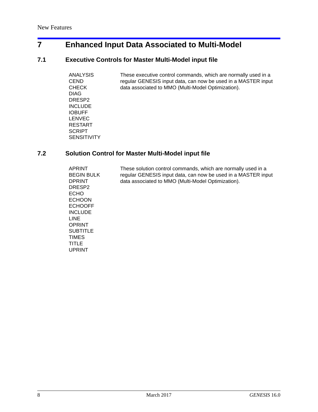# **7 Enhanced Input Data Associated to Multi-Model**

### **7.1 Executive Controls for Master Multi-Model input file**

| ANALYSIS<br><b>CEND</b> | These executive control commands, which are normally used in a<br>regular GENESIS input data, can now be used in a MASTER input |
|-------------------------|---------------------------------------------------------------------------------------------------------------------------------|
| <b>CHECK</b>            | data associated to MMO (Multi-Model Optimization).                                                                              |
| <b>DIAG</b>             |                                                                                                                                 |
| DRESP <sub>2</sub>      |                                                                                                                                 |
| <b>INCLUDE</b>          |                                                                                                                                 |
| <b>IOBUFF</b>           |                                                                                                                                 |
| <b>LENVEC</b>           |                                                                                                                                 |
| <b>RESTART</b>          |                                                                                                                                 |
| <b>SCRIPT</b>           |                                                                                                                                 |
| <b>SENSITIVITY</b>      |                                                                                                                                 |

### **7.2 Solution Control for Master Multi-Model input file**

| APRINT<br><b>BEGIN BULK</b><br><b>DPRINT</b><br>DRESP <sub>2</sub><br><b>ECHO</b><br><b>ECHOON</b><br><b>ECHOOFF</b><br><b>INCLUDE</b><br><b>LINE</b><br>OPRINT<br><b>SUBTITLE</b><br><b>TIMES</b><br>TITLE | These solution control commands, which are normally used in a<br>regular GENESIS input data, can now be used in a MASTER input<br>data associated to MMO (Multi-Model Optimization). |
|-------------------------------------------------------------------------------------------------------------------------------------------------------------------------------------------------------------|--------------------------------------------------------------------------------------------------------------------------------------------------------------------------------------|
| <b>UPRINT</b>                                                                                                                                                                                               |                                                                                                                                                                                      |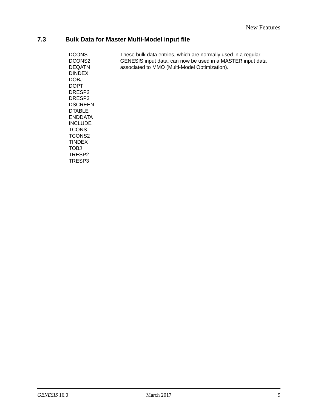# **7.3 Bulk Data for Master Multi-Model input file**

| <b>DCONS</b><br>DCONS2 | These bulk data entries, which are normally used in a regular<br>GENESIS input data, can now be used in a MASTER input data |
|------------------------|-----------------------------------------------------------------------------------------------------------------------------|
| <b>DEQATN</b>          | associated to MMO (Multi-Model Optimization).                                                                               |
| <b>DINDEX</b>          |                                                                                                                             |
| <b>DOBJ</b>            |                                                                                                                             |
| <b>DOPT</b>            |                                                                                                                             |
| DRESP <sub>2</sub>     |                                                                                                                             |
| DRESP <sub>3</sub>     |                                                                                                                             |
| <b>DSCREEN</b>         |                                                                                                                             |
| <b>DTABLE</b>          |                                                                                                                             |
| <b>ENDDATA</b>         |                                                                                                                             |
| <b>INCLUDE</b>         |                                                                                                                             |
| <b>TCONS</b>           |                                                                                                                             |
| TCONS2                 |                                                                                                                             |
| <b>TINDEX</b>          |                                                                                                                             |
| <b>TOBJ</b>            |                                                                                                                             |
| TRESP <sub>2</sub>     |                                                                                                                             |
| TRESP3                 |                                                                                                                             |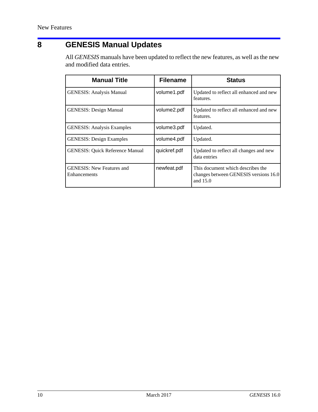# **8 GENESIS Manual Updates**

All *GENESIS* manuals have been updated to reflect the new features, as well as the new and modified data entries.

| <b>Manual Title</b>                              | <b>Filename</b> | <b>Status</b>                                                                          |
|--------------------------------------------------|-----------------|----------------------------------------------------------------------------------------|
| <b>GENESIS: Analysis Manual</b>                  | volume1.pdf     | Updated to reflect all enhanced and new<br>features.                                   |
| <b>GENESIS: Design Manual</b>                    | volume2.pdf     | Updated to reflect all enhanced and new<br>features.                                   |
| <b>GENESIS: Analysis Examples</b>                | volume3.pdf     | Updated.                                                                               |
| <b>GENESIS: Design Examples</b>                  | volume4.pdf     | Updated.                                                                               |
| <b>GENESIS: Quick Reference Manual</b>           | quickref.pdf    | Updated to reflect all changes and new<br>data entries                                 |
| <b>GENESIS: New Features and</b><br>Enhancements | newfeat.pdf     | This document which describes the<br>changes between GENESIS versions 16.0<br>and 15.0 |